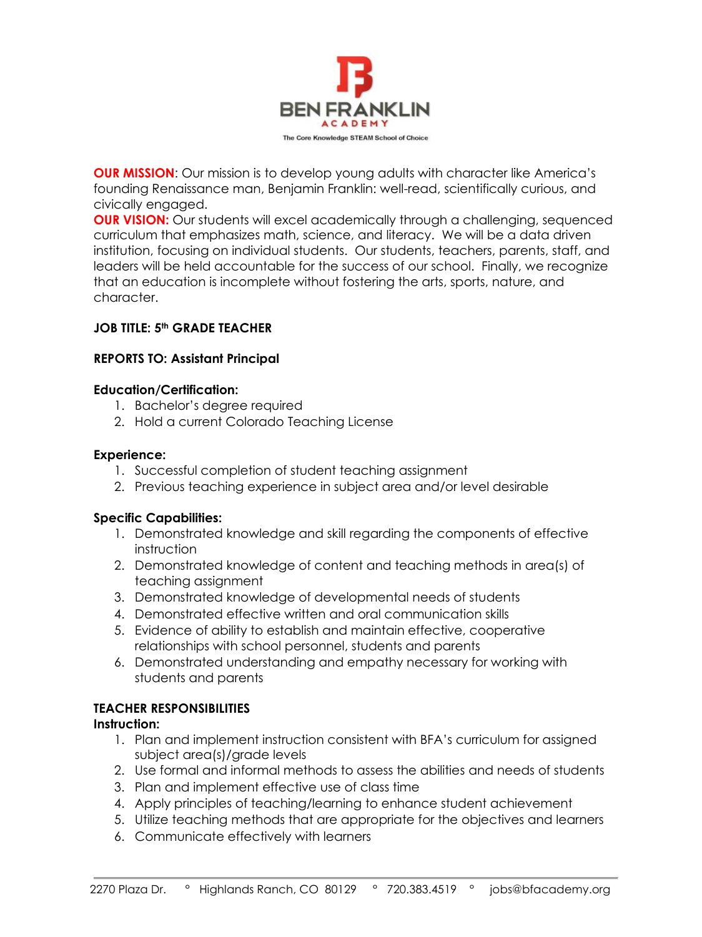

**OUR MISSION**: Our mission is to develop young adults with character like America's founding Renaissance man, Benjamin Franklin: well-read, scientifically curious, and civically engaged.

**OUR VISION:** Our students will excel academically through a challenging, sequenced curriculum that emphasizes math, science, and literacy. We will be a data driven institution, focusing on individual students. Our students, teachers, parents, staff, and leaders will be held accountable for the success of our school. Finally, we recognize that an education is incomplete without fostering the arts, sports, nature, and character.

# **JOB TITLE: 5th GRADE TEACHER**

# **REPORTS TO: Assistant Principal**

### **Education/Certification:**

- 1. Bachelor's degree required
- 2. Hold a current Colorado Teaching License

### **Experience:**

- 1. Successful completion of student teaching assignment
- 2. Previous teaching experience in subject area and/or level desirable

### **Specific Capabilities:**

- 1. Demonstrated knowledge and skill regarding the components of effective instruction
- 2. Demonstrated knowledge of content and teaching methods in area(s) of teaching assignment
- 3. Demonstrated knowledge of developmental needs of students
- 4. Demonstrated effective written and oral communication skills
- 5. Evidence of ability to establish and maintain effective, cooperative relationships with school personnel, students and parents
- 6. Demonstrated understanding and empathy necessary for working with students and parents

# **TEACHER RESPONSIBILITIES**

### **Instruction:**

- 1. Plan and implement instruction consistent with BFA's curriculum for assigned subject area(s)/grade levels
- 2. Use formal and informal methods to assess the abilities and needs of students
- 3. Plan and implement effective use of class time
- 4. Apply principles of teaching/learning to enhance student achievement
- 5. Utilize teaching methods that are appropriate for the objectives and learners
- 6. Communicate effectively with learners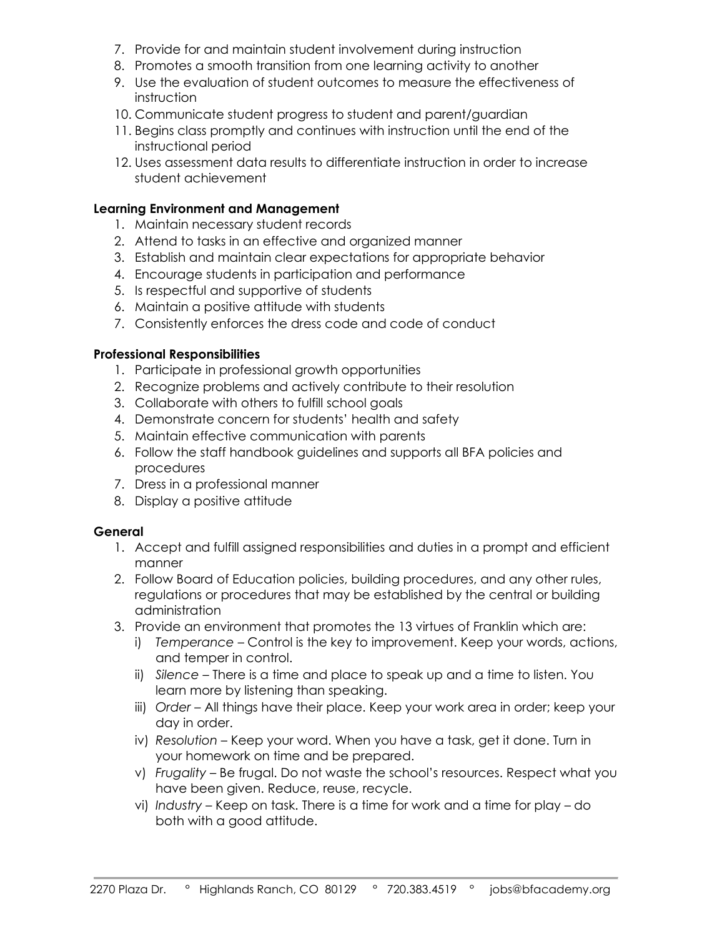- 7. Provide for and maintain student involvement during instruction
- 8. Promotes a smooth transition from one learning activity to another
- 9. Use the evaluation of student outcomes to measure the effectiveness of instruction
- 10. Communicate student progress to student and parent/guardian
- 11. Begins class promptly and continues with instruction until the end of the instructional period
- 12. Uses assessment data results to differentiate instruction in order to increase student achievement

#### **Learning Environment and Management**

- 1. Maintain necessary student records
- 2. Attend to tasks in an effective and organized manner
- 3. Establish and maintain clear expectations for appropriate behavior
- 4. Encourage students in participation and performance
- 5. Is respectful and supportive of students
- 6. Maintain a positive attitude with students
- 7. Consistently enforces the dress code and code of conduct

#### **Professional Responsibilities**

- 1. Participate in professional growth opportunities
- 2. Recognize problems and actively contribute to their resolution
- 3. Collaborate with others to fulfill school goals
- 4. Demonstrate concern for students' health and safety
- 5. Maintain effective communication with parents
- 6. Follow the staff handbook guidelines and supports all BFA policies and procedures
- 7. Dress in a professional manner
- 8. Display a positive attitude

#### **General**

- 1. Accept and fulfill assigned responsibilities and duties in a prompt and efficient manner
- 2. Follow Board of Education policies, building procedures, and any other rules, regulations or procedures that may be established by the central or building administration
- 3. Provide an environment that promotes the 13 virtues of Franklin which are:
	- i) *Temperance*  Control is the key to improvement. Keep your words, actions, and temper in control.
	- ii) *Silence*  There is a time and place to speak up and a time to listen. You learn more by listening than speaking.
	- iii) *Order All things have their place. Keep your work area in order; keep your* day in order.
	- iv) *Resolution* Keep your word. When you have a task, get it done. Turn in your homework on time and be prepared.
	- v) *Frugality*  Be frugal. Do not waste the school's resources. Respect what you have been given. Reduce, reuse, recycle.
	- vi) *Industry*  Keep on task. There is a time for work and a time for play do both with a good attitude.